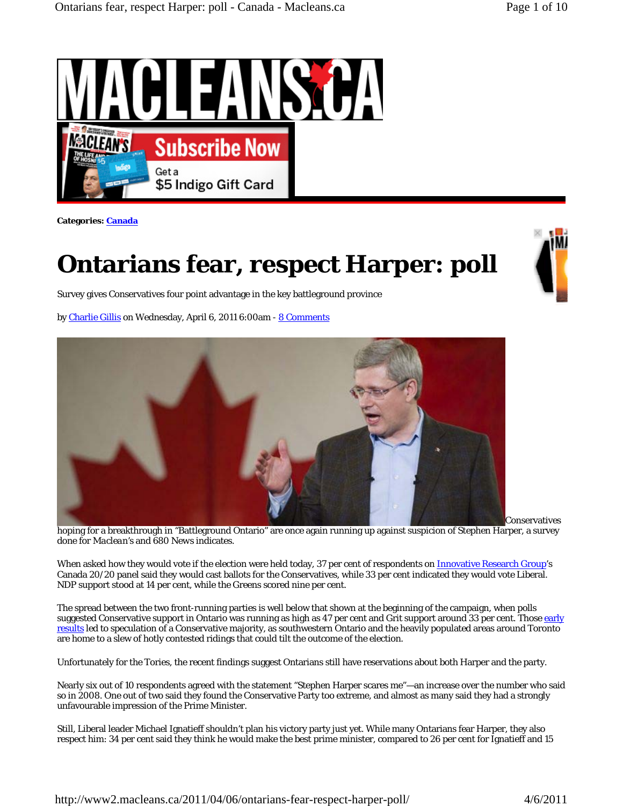

**Categories: Canada**

## **Ontarians fear, respect Harper: poll**

Survey gives Conservatives four point advantage in the key battleground province

by Charlie Gillis on Wednesday, April 6, 2011 6:00am - 8 Comments



hoping for a breakthrough in "Battleground Ontario" are once again running up against suspicion of Stephen Harper, a survey done for *Maclean's* and *680 News* indicates.

When asked how they would vote if the election were held today, 37 per cent of respondents on Innovative Research Group's Canada 20/20 panel said they would cast ballots for the Conservatives, while 33 per cent indicated they would vote Liberal. NDP support stood at 14 per cent, while the Greens scored nine per cent.

The spread between the two front-running parties is well below that shown at the beginning of the campaign, when polls suggested Conservative support in Ontario was running as high as 47 per cent and Grit support around 33 per cent. Those early results led to speculation of a Conservative majority, as southwestern Ontario and the heavily populated areas around Toronto are home to a slew of hotly contested ridings that could tilt the outcome of the election.

Unfortunately for the Tories, the recent findings suggest Ontarians still have reservations about both Harper and the party.

Nearly six out of 10 respondents agreed with the statement "Stephen Harper scares me"—an increase over the number who said so in 2008. One out of two said they found the Conservative Party too extreme, and almost as many said they had a strongly unfavourable impression of the Prime Minister.

Still, Liberal leader Michael Ignatieff shouldn't plan his victory party just yet. While many Ontarians fear Harper, they also respect him: 34 per cent said they think he would make the best prime minister, compared to 26 per cent for Ignatieff and 15